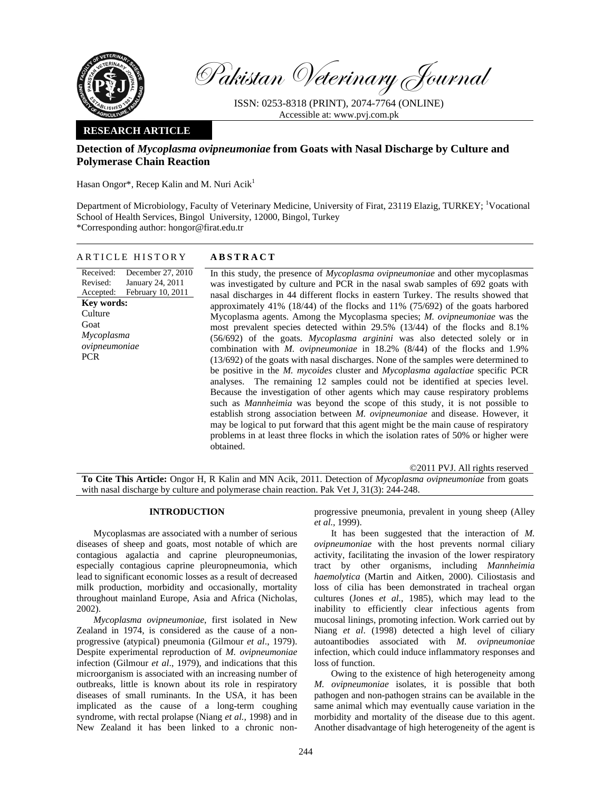

Pakistan Veterinary Journal

ISSN: 0253-8318 (PRINT), 2074-7764 (ONLINE) Accessible at: www.pvj.com.pk

# **RESEARCH ARTICLE**

# **Detection of** *Mycoplasma ovipneumoniae* **from Goats with Nasal Discharge by Culture and Polymerase Chain Reaction**

Hasan Ongor<sup>\*</sup>, Recep Kalin and M. Nuri Acik<sup>1</sup>

Department of Microbiology, Faculty of Veterinary Medicine, University of Firat, 23119 Elazig, TURKEY; <sup>1</sup>Vocational School of Health Services, Bingol University, 12000, Bingol, Turkey \*Corresponding author: hongor@firat.edu.tr

# ARTICLE HISTORY **ABSTRACT**

Received: Revised: Accepted: December 27, 2010 January 24, 2011 February 10, 2011 **Key words: Culture** Goat *Mycoplasma ovipneumoniae*  PCR

In this study, the presence of *Mycoplasma ovipneumoniae* and other mycoplasmas was investigated by culture and PCR in the nasal swab samples of 692 goats with nasal discharges in 44 different flocks in eastern Turkey. The results showed that approximately 41% (18/44) of the flocks and 11% (75/692) of the goats harbored Mycoplasma agents. Among the Mycoplasma species; *M. ovipneumoniae* was the most prevalent species detected within 29.5% (13/44) of the flocks and 8.1% (56/692) of the goats. *Mycoplasma arginini* was also detected solely or in combination with *M. ovipneumoniae* in 18.2% (8/44) of the flocks and 1.9% (13/692) of the goats with nasal discharges. None of the samples were determined to be positive in the *M. mycoides* cluster and *Mycoplasma agalactiae* specific PCR analyses. The remaining 12 samples could not be identified at species level. Because the investigation of other agents which may cause respiratory problems such as *Mannheimia* was beyond the scope of this study, it is not possible to establish strong association between *M. ovipneumoniae* and disease. However, it may be logical to put forward that this agent might be the main cause of respiratory problems in at least three flocks in which the isolation rates of 50% or higher were obtained.

©2011 PVJ. All rights reserved **To Cite This Article:** Ongor H, R Kalin and MN Acik, 2011. Detection of *Mycoplasma ovipneumoniae* from goats with nasal discharge by culture and polymerase chain reaction. Pak Vet J, 31(3): 244-248.

# **INTRODUCTION**

Mycoplasmas are associated with a number of serious diseases of sheep and goats, most notable of which are contagious agalactia and caprine pleuropneumonias, especially contagious caprine pleuropneumonia, which lead to significant economic losses as a result of decreased milk production, morbidity and occasionally, mortality throughout mainland Europe, Asia and Africa (Nicholas, 2002).

*Mycoplasma ovipneumoniae*, first isolated in New Zealand in 1974, is considered as the cause of a nonprogressive (atypical) pneumonia (Gilmour *et al*., 1979). Despite experimental reproduction of *M. ovipneumoniae* infection (Gilmour *et al*., 1979), and indications that this microorganism is associated with an increasing number of outbreaks, little is known about its role in respiratory diseases of small ruminants. In the USA, it has been implicated as the cause of a long-term coughing syndrome, with rectal prolapse (Niang *et al.,* 1998) and in New Zealand it has been linked to a chronic nonprogressive pneumonia, prevalent in young sheep (Alley *et al.,* 1999).

It has been suggested that the interaction of *M. ovipneumoniae* with the host prevents normal ciliary activity, facilitating the invasion of the lower respiratory tract by other organisms, including *Mannheimia haemolytica* (Martin and Aitken, 2000). Ciliostasis and loss of cilia has been demonstrated in tracheal organ cultures (Jones *et al.,* 1985), which may lead to the inability to efficiently clear infectious agents from mucosal linings, promoting infection. Work carried out by Niang *et al*. (1998) detected a high level of ciliary autoantibodies associated with *M. ovipneumoniae* infection, which could induce inflammatory responses and loss of function.

Owing to the existence of high heterogeneity among *M. ovipneumoniae* isolates, it is possible that both pathogen and non-pathogen strains can be available in the same animal which may eventually cause variation in the morbidity and mortality of the disease due to this agent. Another disadvantage of high heterogeneity of the agent is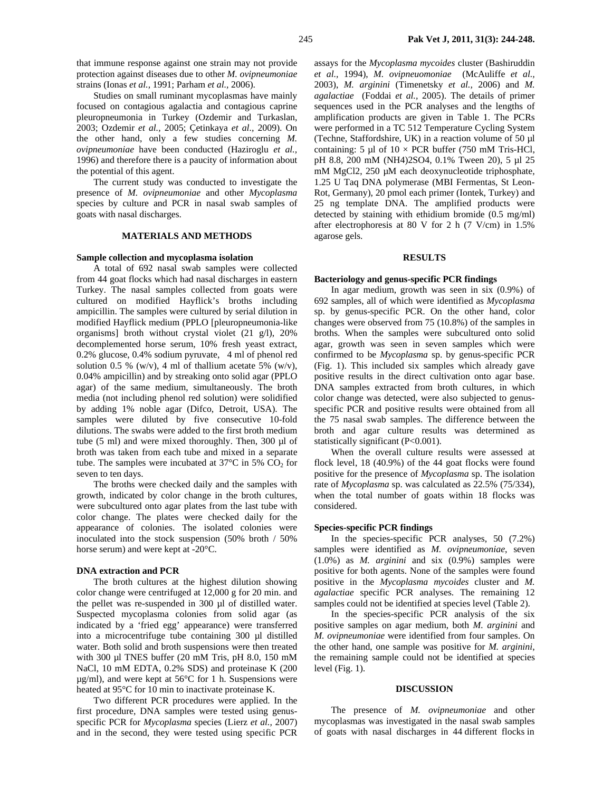that immune response against one strain may not provide protection against diseases due to other *M. ovipneumoniae* strains (Ionas *et al.,* 1991; Parham *et al.,* 2006).

Studies on small ruminant mycoplasmas have mainly focused on contagious agalactia and contagious caprine pleuropneumonia in Turkey (Ozdemir and Turkaslan, 2003; Ozdemir *et al.,* 2005; Çetinkaya *et al.,* 2009). On the other hand, only a few studies concerning *M. ovipneumoniae* have been conducted (Haziroglu *et al.,* 1996) and therefore there is a paucity of information about the potential of this agent.

The current study was conducted to investigate the presence of *M. ovipneumoniae* and other *Mycoplasma* species by culture and PCR in nasal swab samples of goats with nasal discharges.

# **MATERIALS AND METHODS**

### **Sample collection and mycoplasma isolation**

A total of 692 nasal swab samples were collected from 44 goat flocks which had nasal discharges in eastern Turkey. The nasal samples collected from goats were cultured on modified Hayflick's broths including ampicillin. The samples were cultured by serial dilution in modified Hayflick medium (PPLO [pleuropneumonia-like organisms] broth without crystal violet (21 g/l), 20% decomplemented horse serum, 10% fresh yeast extract, 0.2% glucose, 0.4% sodium pyruvate, 4 ml of phenol red solution 0.5 % (w/v), 4 ml of thallium acetate 5% (w/v), 0.04% ampicillin) and by streaking onto solid agar (PPLO agar) of the same medium, simultaneously. The broth media (not including phenol red solution) were solidified by adding 1% noble agar (Difco, Detroit, USA). The samples were diluted by five consecutive 10-fold dilutions. The swabs were added to the first broth medium tube (5 ml) and were mixed thoroughly. Then, 300 µl of broth was taken from each tube and mixed in a separate tube. The samples were incubated at  $37^{\circ}$ C in 5% CO<sub>2</sub> for seven to ten days.

The broths were checked daily and the samples with growth, indicated by color change in the broth cultures, were subcultured onto agar plates from the last tube with color change. The plates were checked daily for the appearance of colonies. The isolated colonies were inoculated into the stock suspension (50% broth / 50% horse serum) and were kept at -20°C.

#### **DNA extraction and PCR**

The broth cultures at the highest dilution showing color change were centrifuged at 12,000 g for 20 min. and the pellet was re-suspended in 300 µl of distilled water. Suspected mycoplasma colonies from solid agar (as indicated by a 'fried egg' appearance) were transferred into a microcentrifuge tube containing 300 µl distilled water. Both solid and broth suspensions were then treated with 300 µl TNES buffer (20 mM Tris, pH 8.0, 150 mM NaCl, 10 mM EDTA, 0.2% SDS) and proteinase K (200  $\mu$ g/ml), and were kept at 56°C for 1 h. Suspensions were heated at 95°C for 10 min to inactivate proteinase K.

Two different PCR procedures were applied. In the first procedure, DNA samples were tested using genusspecific PCR for *Mycoplasma* species (Lierz *et al.,* 2007) and in the second, they were tested using specific PCR

assays for the *Mycoplasma mycoides* cluster (Bashiruddin *et al.,* 1994), *M. ovipneuomoniae* (McAuliffe *et al.,* 2003), *M. arginini* (Timenetsky *et al.,* 2006) and *M. agalactiae* (Foddai *et al.,* 2005). The details of primer sequences used in the PCR analyses and the lengths of amplification products are given in Table 1. The PCRs were performed in a TC 512 Temperature Cycling System (Techne, Staffordshire, UK) in a reaction volume of 50 µl containing: 5 µl of  $10 \times PCR$  buffer (750 mM Tris-HCl, pH 8.8, 200 mM (NH4)2SO4, 0.1% Tween 20), 5 µl 25 mM MgCl2, 250 µM each deoxynucleotide triphosphate, 1.25 U Taq DNA polymerase (MBI Fermentas, St Leon-Rot, Germany), 20 pmol each primer (Iontek, Turkey) and 25 ng template DNA. The amplified products were detected by staining with ethidium bromide (0.5 mg/ml) after electrophoresis at 80 V for 2 h (7 V/cm) in 1.5% agarose gels.

#### **RESULTS**

#### **Bacteriology and genus-specific PCR findings**

In agar medium, growth was seen in six (0.9%) of 692 samples, all of which were identified as *Mycoplasma* sp. by genus-specific PCR. On the other hand, color changes were observed from 75 (10.8%) of the samples in broths. When the samples were subcultured onto solid agar, growth was seen in seven samples which were confirmed to be *Mycoplasma* sp. by genus-specific PCR (Fig. 1). This included six samples which already gave positive results in the direct cultivation onto agar base. DNA samples extracted from broth cultures, in which color change was detected, were also subjected to genusspecific PCR and positive results were obtained from all the 75 nasal swab samples. The difference between the broth and agar culture results was determined as statistically significant (P<0.001).

When the overall culture results were assessed at flock level, 18 (40.9%) of the 44 goat flocks were found positive for the presence of *Mycoplasma* sp. The isolation rate of *Mycoplasma* sp. was calculated as 22.5% (75/334), when the total number of goats within 18 flocks was considered.

#### **Species-specific PCR findings**

In the species-specific PCR analyses, 50 (7.2%) samples were identified as *M. ovipneumoniae*, seven (1.0%) as *M. arginini* and six (0.9%) samples were positive for both agents. None of the samples were found positive in the *Mycoplasma mycoides* cluster and *M. agalactiae* specific PCR analyses. The remaining 12 samples could not be identified at species level (Table 2).

In the species-specific PCR analysis of the six positive samples on agar medium, both *M. arginini* and *M. ovipneumoniae* were identified from four samples. On the other hand, one sample was positive for *M. arginini*, the remaining sample could not be identified at species level (Fig. 1).

#### **DISCUSSION**

The presence of *M. ovipneumoniae* and other mycoplasmas was investigated in the nasal swab samples of goats with nasal discharges in 44 different flocks in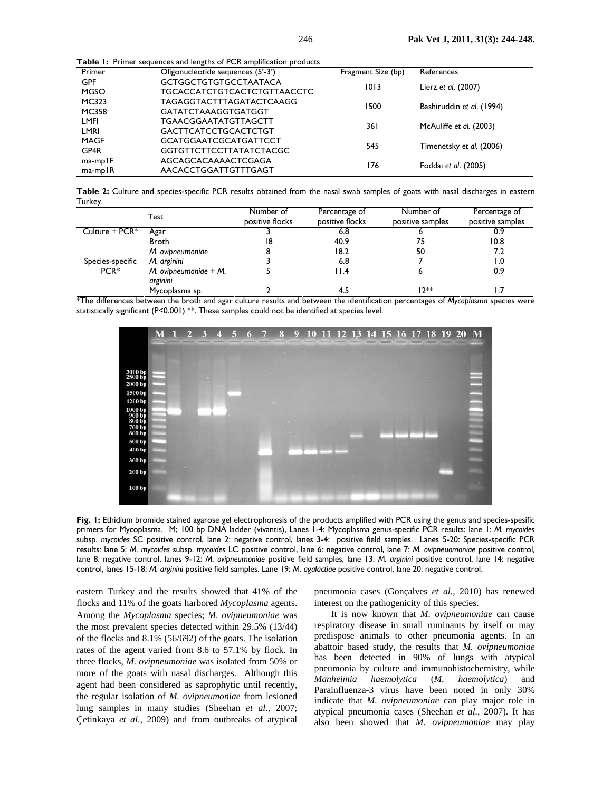**Table 1:** Primer sequences and lengths of PCR amplification products

| Primer        | Oligonucleotide sequences (5'-3') | Fragment Size (bp) | References                |  |
|---------------|-----------------------------------|--------------------|---------------------------|--|
| <b>GPF</b>    | <b>GCTGGCTGTGTGCCTAATACA</b>      | 1013               | Lierz et al. (2007)       |  |
| <b>MGSO</b>   | TGCACCATCTGTCACTCTGTTAACCTC       |                    |                           |  |
| MC323         | TAGAGGTACTTTAGATACTCAAGG          | 1500               | Bashiruddin et al. (1994) |  |
| <b>MC358</b>  | <b>GATATCTAAAGGTGATGGT</b>        |                    |                           |  |
| LMFI          | TGAACGGAATATGTTAGCTT              | 36 I               | McAuliffe et al. (2003)   |  |
| LMRI          | <b>GACTTCATCCTGCACTCTGT</b>       |                    |                           |  |
| <b>MAGF</b>   | <b>GCATGGAATCGCATGATTCCT</b>      | 545                | Timenetsky et al. (2006)  |  |
| GP4R          | <b>GGTGTTCTTCCTTATATCTACGC</b>    |                    |                           |  |
| $ma$ -mp $IF$ | AGCAGCACAAAACTCGAGA               | 176                | Foddai et al. (2005)      |  |
| $ma$ -mp $IR$ | AACACCTGGATTGTTTGAGT              |                    |                           |  |

**Table 2:** Culture and species-specific PCR results obtained from the nasal swab samples of goats with nasal discharges in eastern Turkey.

|                  | Test                                  | Number of<br>positive flocks | Percentage of<br>positive flocks | Number of<br>positive samples | Percentage of<br>positive samples |
|------------------|---------------------------------------|------------------------------|----------------------------------|-------------------------------|-----------------------------------|
| Culture + PCR*   | Agar                                  |                              | 6.8                              |                               | 0.9                               |
|                  | Broth                                 | 18                           | 40.9                             | 75                            | 10.8                              |
|                  | M. ovipneumoniae                      |                              | 18.2                             | 50                            | 7.2                               |
| Species-specific | M. arginini                           |                              | 6.8                              |                               | 0. ا                              |
| $PCR*$           | $M.$ ovipneumoniae $+ M.$<br>arginini |                              | l I.4                            |                               | 0.9                               |
|                  | Mycoplasma sp.                        |                              |                                  | 12**                          |                                   |

\*The differences between the broth and agar culture results and between the identification percentages of *Mycoplasma* species were statistically significant (P<0.001) \*\*. These samples could not be identified at species level.



**Fig. 1:** Ethidium bromide stained agarose gel electrophoresis of the products amplified with PCR using the genus and species-spesific primers for Mycoplasma. M; 100 bp DNA ladder (vivantis), Lanes 1-4: Mycoplasma genus-specific PCR results: lane 1: *M. mycoides* subsp. *mycoides* SC positive control, lane 2: negative control, lanes 3-4: positive field samples. Lanes 5-20: Species-specific PCR results: lane 5: *M. mycoides* subsp. *mycoides* LC positive control, lane 6: negative control, lane 7: *M. ovipneuomoniae* positive control*,* lane 8: negative control, lanes 9-12: *M. ovipneumoniae* positive field samples, lane 13: *M. arginini* positive control, lane 14: negative control, lanes 15-18: *M. arginini* positive field samples. Lane 19: *M. agalactiae* positive control, lane 20: negative control.

eastern Turkey and the results showed that 41% of the flocks and 11% of the goats harbored *Mycoplasma* agents. Among the *Mycoplasma* species; *M. ovipneumoniae* was the most prevalent species detected within 29.5% (13/44) of the flocks and 8.1% (56/692) of the goats. The isolation rates of the agent varied from 8.6 to 57.1% by flock. In three flocks, *M. ovipneumoniae* was isolated from 50% or more of the goats with nasal discharges. Although this agent had been considered as saprophytic until recently, the regular isolation of *M. ovipneumoniae* from lesioned lung samples in many studies (Sheehan *et al.,* 2007; Çetinkaya *et al.,* 2009) and from outbreaks of atypical

pneumonia cases (Gonçalves *et al.,* 2010) has renewed interest on the pathogenicity of this species.

It is now known that *M. ovipneumoniae* can cause respiratory disease in small ruminants by itself or may predispose animals to other pneumonia agents. In an abattoir based study, the results that *M. ovipneumoniae* has been detected in 90% of lungs with atypical pneumonia by culture and immunohistochemistry, while *Manheimia haemolytica* (*M. haemolytica*) and Parainfluenza-3 virus have been noted in only 30% indicate that *M. ovipneumoniae* can play major role in atypical pneumonia cases (Sheehan *et al.,* 2007). It has also been showed that *M. ovipneumoniae* may play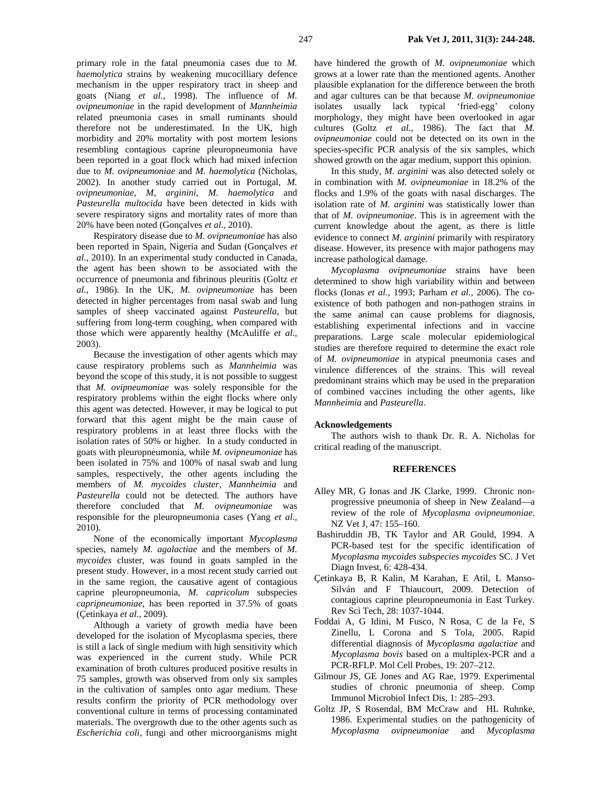primary role in the fatal pneumonia cases due to *M. haemolytica* strains by weakening mucocilliary defence mechanism in the upper respiratory tract in sheep and goats (Niang *et al.,* 1998). The influence of *M. ovipneumoniae* in the rapid development of *Mannheimia* related pneumonia cases in small ruminants should therefore not be underestimated. In the UK, high morbidity and 20% mortality with post mortem lesions resembling contagious caprine pleuropneumonia have been reported in a goat flock which had mixed infection due to *M. ovipneumoniae* and *M. haemolytica* (Nicholas, 2002). In another study carried out in Portugal, *M. ovipneumoniae, M, arginini, M. haemolytica* and *Pasteurella multocida* have been detected in kids with severe respiratory signs and mortality rates of more than 20% have been noted (Gonçalves *et al.,* 2010).

Respiratory disease due to *M. ovipneumoniae* has also been reported in Spain, Nigeria and Sudan (Gonçalves *et al.,* 2010). In an experimental study conducted in Canada, the agent has been shown to be associated with the occurrence of pneumonia and fibrinous pleuritis (Goltz *et al.,* 1986). In the UK, *M. ovipneumoniae* has been detected in higher percentages from nasal swab and lung samples of sheep vaccinated against *Pasteurella*, but suffering from long-term coughing, when compared with those which were apparently healthy (McAuliffe *et al.,* 2003).

Because the investigation of other agents which may cause respiratory problems such as *Mannheimia* was beyond the scope of this study, it is not possible to suggest that *M. ovipneumoniae* was solely responsible for the respiratory problems within the eight flocks where only this agent was detected. However, it may be logical to put forward that this agent might be the main cause of respiratory problems in at least three flocks with the isolation rates of 50% or higher. In a study conducted in goats with pleuropneumonia, while *M. ovipneumoniae* has been isolated in 75% and 100% of nasal swab and lung samples, respectively, the other agents including the members of *M. mycoides cluster, Mannheimia* and *Pasteurella* could not be detected. The authors have therefore concluded that *M. ovipneumoniae* was responsible for the pleuropneumonia cases (Yang *et al.,* 2010).

None of the economically important *Mycoplasma*  species, namely *M. agalactiae* and the members of *M. mycoides* cluster, was found in goats sampled in the present study. However, in a most recent study carried out in the same region, the causative agent of contagious caprine pleuropneumonia, *M. capricolum* subspecies *capripneumoniae*, has been reported in 37.5% of goats (Çetinkaya *et al.,* 2009).

Although a variety of growth media have been developed for the isolation of Mycoplasma species, there is still a lack of single medium with high sensitivity which was experienced in the current study. While PCR examination of broth cultures produced positive results in 75 samples, growth was observed from only six samples in the cultivation of samples onto agar medium. These results confirm the priority of PCR methodology over conventional culture in terms of processing contaminated materials. The overgrowth due to the other agents such as *Escherichia coli*, fungi and other microorganisms might

have hindered the growth of *M. ovipneumoniae* which grows at a lower rate than the mentioned agents. Another plausible explanation for the difference between the broth and agar cultures can be that because *M. ovipneumoniae* isolates usually lack typical 'fried-egg' colony morphology, they might have been overlooked in agar cultures (Goltz *et al.,* 1986). The fact that *M. ovipneumoniae* could not be detected on its own in the species-specific PCR analysis of the six samples, which showed growth on the agar medium, support this opinion.

In this study, *M. arginini* was also detected solely or in combination with *M. ovipneumoniae* in 18.2% of the flocks and 1.9% of the goats with nasal discharges. The isolation rate of *M. arginini* was statistically lower than that of *M. ovipneumoniae*. This is in agreement with the current knowledge about the agent, as there is little evidence to connect *M. arginini* primarily with respiratory disease. However, its presence with major pathogens may increase pathological damage.

*Mycoplasma ovipneumoniae* strains have been determined to show high variability within and between flocks (Ionas *et al.,* 1993; Parham *et al.,* 2006). The coexistence of both pathogen and non-pathogen strains in the same animal can cause problems for diagnosis, establishing experimental infections and in vaccine preparations. Large scale molecular epidemiological studies are therefore required to determine the exact role of *M. ovipneumoniae* in atypical pneumonia cases and virulence differences of the strains. This will reveal predominant strains which may be used in the preparation of combined vaccines including the other agents, like *Mannheimia* and *Pasteurella*.

### **Acknowledgements**

The authors wish to thank Dr. R. A. Nicholas for critical reading of the manuscript.

### **REFERENCES**

- Alley MR, G Ionas and JK Clarke, 1999. Chronic nonprogressive pneumonia of sheep in New Zealand—a review of the role of *Mycoplasma ovipneumoniae*. NZ Vet J, 47: 155–160.
- Bashiruddin JB, TK Taylor and AR Gould, 1994. A PCR-based test for the specific identification of *Mycoplasma mycoides subspecies mycoides* SC. J Vet Diagn Invest, 6: 428-434.
- Çetinkaya B, R Kalin, M Karahan, E Atil, L Manso-Silván and F Thiaucourt, 2009. Detection of contagious caprine pleuropneumonia in East Turkey. Rev Sci Tech, 28: 1037-1044.
- Foddai A, G Idini, M Fusco, N Rosa, C de la Fe, S Zinellu, L Corona and S Tola, 2005. Rapid differential diagnosis of *Mycoplasma agalactiae* and *Mycoplasma bovis* based on a multiplex-PCR and a PCR-RFLP. Mol Cell Probes, 19: 207–212.
- Gilmour JS, GE Jones and AG Rae, 1979. Experimental studies of chronic pneumonia of sheep. Comp Immunol Microbiol Infect Dis, 1: 285–293.
- Goltz JP, S Rosendal, BM McCraw and HL Ruhnke, 1986. Experimental studies on the pathogenicity of *Mycoplasma ovipneumoniae* and *Mycoplasma*